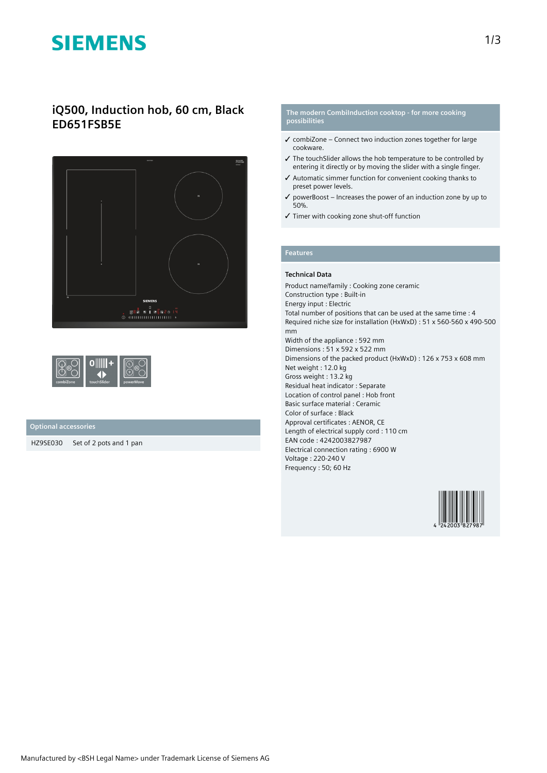# **SIEMENS**

## **iQ500, Induction hob, 60 cm, Black ED651FSB5E**



| combiZone | touchSlider | powerMove |
|-----------|-------------|-----------|
|-----------|-------------|-----------|

### **Optional accessories**

HZ9SE030 Set of 2 pots and 1 pan

#### **The modern CombiInduction cooktop - for more cooking possibilities**

- $\checkmark$  combiZone Connect two induction zones together for large cookware.
- ✓ The touchSlider allows the hob temperature to be controlled by entering it directly or by moving the slider with a single finger.
- ✓ Automatic simmer function for convenient cooking thanks to preset power levels.
- $\checkmark$  powerBoost Increases the power of an induction zone by up to 50%.
- ✓ Timer with cooking zone shut-off function

## **Features**

#### **Technical Data**

Product name/family : Cooking zone ceramic Construction type : Built-in Energy input : Electric Total number of positions that can be used at the same time : 4 Required niche size for installation (HxWxD) : 51 x 560-560 x 490-500 mm Width of the appliance : 592 mm Dimensions : 51 x 592 x 522 mm Dimensions of the packed product (HxWxD) : 126 x 753 x 608 mm Net weight : 12.0 kg Gross weight : 13.2 kg Residual heat indicator : Separate Location of control panel : Hob front Basic surface material : Ceramic Color of surface : Black Approval certificates : AENOR, CE Length of electrical supply cord : 110 cm EAN code : 4242003827987 Electrical connection rating : 6900 W Voltage : 220-240 V Frequency : 50; 60 Hz

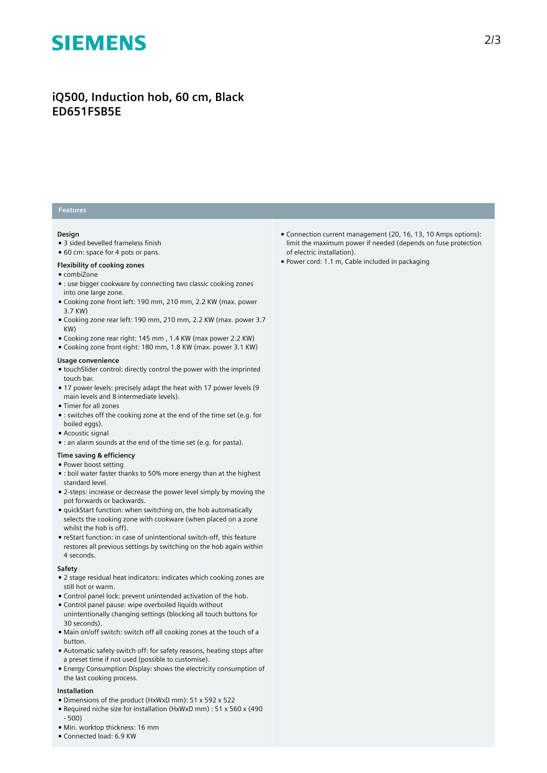# **SIEMENS**

## **iQ500, Induction hob, 60 cm, Black ED651FSB5E**

### **Features**

#### **Design**

- 3 sided bevelled frameless finish
- 60 cm: space for 4 pots or pans.

#### **Flexibility of cooking zones**

- combiZone
- : use bigger cookware by connecting two classic cooking zones into one large zone.
- Cooking zone front left: 190 mm, 210 mm, 2.2 KW (max. power 3.7 KW)
- Cooking zone rear left: 190 mm, 210 mm, 2.2 KW (max. power 3.7 KW)
- Cooking zone rear right: 145 mm , 1.4 KW (max power 2.2 KW)
- Cooking zone front right: 180 mm, 1.8 KW (max. power 3.1 KW)

#### **Usage convenience**

- touchSlider control: directly control the power with the imprinted touch bar.
- 17 power levels: precisely adapt the heat with 17 power levels (9 main levels and 8 intermediate levels).
- Timer for all zones
- : switches off the cooking zone at the end of the time set (e.g. for boiled eggs).
- Acoustic signal
- : an alarm sounds at the end of the time set (e.g. for pasta).

### **Time saving & efficiency**

#### ● Power boost setting

- : boil water faster thanks to 50% more energy than at the highest standard level.
- 2-steps: increase or decrease the power level simply by moving the pot forwards or backwards.
- quickStart function: when switching on, the hob automatically selects the cooking zone with cookware (when placed on a zone whilst the hob is off).
- reStart function: in case of unintentional switch-off, this feature restores all previous settings by switching on the hob again within 4 seconds.

#### **Safety**

- 2 stage residual heat indicators: indicates which cooking zones are still hot or warm.
- Control panel lock: prevent unintended activation of the hob.
- Control panel pause: wipe overboiled liquids without unintentionally changing settings (blocking all touch buttons for 30 seconds).
- Main on/off switch: switch off all cooking zones at the touch of a button.
- Automatic safety switch off: for safety reasons, heating stops after a preset time if not used (possible to customise).
- Energy Consumption Display: shows the electricity consumption of the last cooking process.

#### **Installation**

- Dimensions of the product (HxWxD mm): 51 x 592 x 522
- Required niche size for installation (HxWxD mm) : 51 x 560 x (490 - 500)
- Min. worktop thickness: 16 mm
- Connected load: 6.9 KW
- Connection current management (20, 16, 13, 10 Amps options): limit the maximum power if needed (depends on fuse protection of electric installation).
- Power cord: 1.1 m, Cable included in packaging